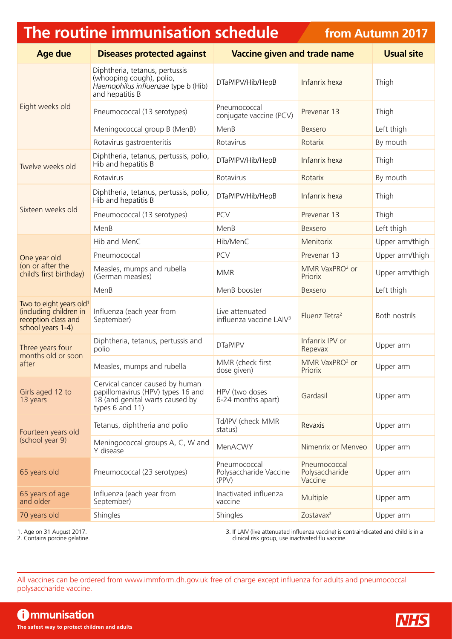## **The routine immunisation schedule**

**from Autumn 2017**

| <b>Age due</b>                                                                                            | <b>Diseases protected against</b>                                                                                          | <b>Vaccine given and trade name</b>                    |                                           | <b>Usual site</b> |
|-----------------------------------------------------------------------------------------------------------|----------------------------------------------------------------------------------------------------------------------------|--------------------------------------------------------|-------------------------------------------|-------------------|
| Eight weeks old                                                                                           | Diphtheria, tetanus, pertussis<br>(whooping cough), polio,<br>Haemophilus influenzae type b (Hib)<br>and hepatitis B       | DTaP/IPV/Hib/HepB                                      | Infanrix hexa                             | Thigh             |
|                                                                                                           | Pneumococcal (13 serotypes)                                                                                                | Pneumococcal<br>conjugate vaccine (PCV)                | Prevenar 13                               | Thigh             |
|                                                                                                           | Meningococcal group B (MenB)                                                                                               | MenB                                                   | Bexsero                                   | Left thigh        |
|                                                                                                           | Rotavirus gastroenteritis                                                                                                  | Rotavirus                                              | Rotarix                                   | By mouth          |
| Twelve weeks old                                                                                          | Diphtheria, tetanus, pertussis, polio,<br>Hib and hepatitis B                                                              | DTaP/IPV/Hib/HepB                                      | Infanrix hexa                             | Thigh             |
|                                                                                                           | Rotavirus                                                                                                                  | Rotavirus                                              | Rotarix                                   | By mouth          |
|                                                                                                           | Diphtheria, tetanus, pertussis, polio,<br>Hib and hepatitis B                                                              | DTaP/IPV/Hib/HepB                                      | Infanrix hexa                             | Thigh             |
| Sixteen weeks old                                                                                         | Pneumococcal (13 serotypes)                                                                                                | <b>PCV</b>                                             | Prevenar 13                               | Thigh             |
|                                                                                                           | MenB                                                                                                                       | MenB                                                   | Bexsero                                   | Left thigh        |
|                                                                                                           | Hib and MenC                                                                                                               | Hib/MenC                                               | Menitorix                                 | Upper arm/thigh   |
| One year old                                                                                              | Pneumococcal                                                                                                               | <b>PCV</b>                                             | Prevenar 13                               | Upper arm/thigh   |
| (on or after the<br>child's first birthday)                                                               | Measles, mumps and rubella<br>(German measles)                                                                             | <b>MMR</b>                                             | MMR VaxPRO <sup>2</sup> or<br>Priorix     | Upper arm/thigh   |
|                                                                                                           | MenB                                                                                                                       | MenB booster                                           | Bexsero                                   | Left thigh        |
| Two to eight years old <sup>1</sup><br>(including children in<br>reception class and<br>school years 1-4) | Influenza (each year from<br>September)                                                                                    | Live attenuated<br>influenza vaccine LAIV <sup>3</sup> | Fluenz Tetra <sup>2</sup>                 | Both nostrils     |
| Three years four<br>months old or soon<br>after                                                           | Diphtheria, tetanus, pertussis and<br>polio                                                                                | DTaP/IPV                                               | Infanrix IPV or<br>Repevax                | Upper arm         |
|                                                                                                           | Measles, mumps and rubella                                                                                                 | MMR (check first<br>dose given)                        | MMR VaxPRO <sup>2</sup> or<br>Priorix     | Upper arm         |
| Girls aged 12 to<br>13 years                                                                              | Cervical cancer caused by human<br>papillomavirus (HPV) types 16 and<br>18 (and genital warts caused by<br>types 6 and 11) | HPV (two doses<br>6-24 months apart)                   | Gardasil                                  | Upper arm         |
| Fourteen years old<br>(school year 9)                                                                     | Tetanus, diphtheria and polio                                                                                              | Td/IPV (check MMR<br>status)                           | Revaxis                                   | Upper arm         |
|                                                                                                           | Meningococcal groups A, C, W and<br>Y disease                                                                              | MenACWY                                                | Nimenrix or Menveo                        | Upper arm         |
| 65 years old                                                                                              | Pneumococcal (23 serotypes)                                                                                                | Pneumococcal<br>Polysaccharide Vaccine<br>(PPV)        | Pneumococcal<br>Polysaccharide<br>Vaccine | Upper arm         |
| 65 years of age<br>and older                                                                              | Influenza (each year from<br>September)                                                                                    | Inactivated influenza<br>vaccine                       | Multiple                                  | Upper arm         |
| 70 years old                                                                                              | Shingles                                                                                                                   | Shingles                                               | Zostavax <sup>2</sup>                     | Upper arm         |

1. Age on 31 August 2017.

2. Contains porcine gelatine.

3. If LAIV (live attenuated influenza vaccine) is contraindicated and child is in a clinical risk group, use inactivated flu vaccine.

All vaccines can be ordered from [www.immform.dh.gov.uk](http://www.immform.dh.gov.uk) free of charge except influenza for adults and pneumococcal polysaccharide vaccine.

**Communisation The safest way to protect children and adults**